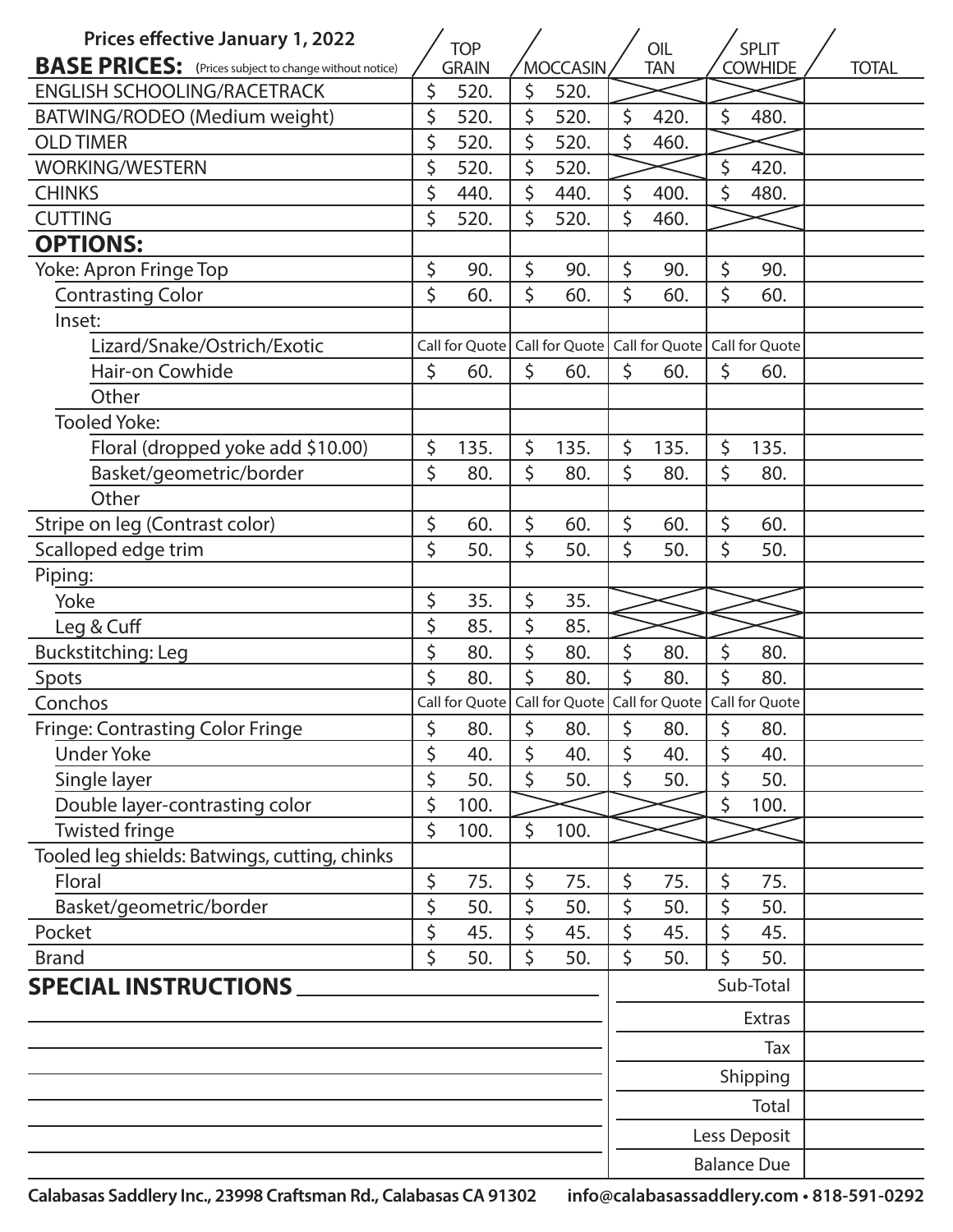| <b>Prices effective January 1, 2022</b>                       |    | <b>TOP</b>                                                        |                 |                                                                   |            | OIL  |                | <b>SPLIT</b>       |  |
|---------------------------------------------------------------|----|-------------------------------------------------------------------|-----------------|-------------------------------------------------------------------|------------|------|----------------|--------------------|--|
| <b>BASE PRICES:</b> (Prices subject to change without notice) |    | <b>GRAIN</b>                                                      | <b>MOCCASIN</b> |                                                                   | <b>TAN</b> |      | <b>COWHIDE</b> | <b>TOTAL</b>       |  |
| <b>ENGLISH SCHOOLING/RACETRACK</b>                            | \$ | 520.                                                              | \$              | 520.                                                              |            |      |                |                    |  |
| BATWING/RODEO (Medium weight)                                 | \$ | 520.                                                              | \$              | 520.                                                              | \$         | 420. | \$             | 480.               |  |
| <b>OLD TIMER</b>                                              | \$ | 520.                                                              | \$              | 520.                                                              | \$         | 460. |                |                    |  |
| <b>WORKING/WESTERN</b>                                        | \$ | 520.                                                              | \$              | 520.                                                              |            |      | $\zeta$        | 420.               |  |
| <b>CHINKS</b>                                                 | \$ | 440.                                                              | \$              | 440.                                                              | \$         | 400. | \$             | 480.               |  |
| <b>CUTTING</b>                                                | \$ | 520.                                                              | \$              | 520.                                                              | \$         | 460. |                |                    |  |
| <b>OPTIONS:</b>                                               |    |                                                                   |                 |                                                                   |            |      |                |                    |  |
| Yoke: Apron Fringe Top                                        | \$ | 90.                                                               | \$              | 90.                                                               | \$         | 90.  | \$             | 90.                |  |
| <b>Contrasting Color</b>                                      | \$ | 60.                                                               | \$              | 60.                                                               | \$         | 60.  | \$             | 60.                |  |
| Inset:                                                        |    |                                                                   |                 |                                                                   |            |      |                |                    |  |
| Lizard/Snake/Ostrich/Exotic                                   |    | Call for Quote   Call for Quote   Call for Quote   Call for Quote |                 |                                                                   |            |      |                |                    |  |
| Hair-on Cowhide                                               | \$ | 60.                                                               | \$              | 60.                                                               | \$         | 60.  | \$             | 60.                |  |
| Other                                                         |    |                                                                   |                 |                                                                   |            |      |                |                    |  |
| <b>Tooled Yoke:</b>                                           |    |                                                                   |                 |                                                                   |            |      |                |                    |  |
| Floral (dropped yoke add \$10.00)                             | \$ | 135.                                                              | \$              | 135.                                                              | \$         | 135. | \$             | 135.               |  |
| Basket/geometric/border                                       | \$ | 80.                                                               | \$              | 80.                                                               | \$         | 80.  | \$             | 80.                |  |
| Other                                                         |    |                                                                   |                 |                                                                   |            |      |                |                    |  |
| Stripe on leg (Contrast color)                                | \$ | 60.                                                               | \$              | 60.                                                               | \$         | 60.  | \$             | 60.                |  |
| Scalloped edge trim                                           | \$ | 50.                                                               | \$              | 50.                                                               | \$         | 50.  | \$             | 50.                |  |
| Piping:                                                       |    |                                                                   |                 |                                                                   |            |      |                |                    |  |
| Yoke                                                          | \$ | 35.                                                               | \$              | 35.                                                               |            |      |                |                    |  |
| Leg & Cuff                                                    | \$ | 85.                                                               | \$              | 85.                                                               |            |      |                |                    |  |
| Buckstitching: Leg                                            | \$ | 80.                                                               | \$              | 80.                                                               | \$         | 80.  | \$             | 80.                |  |
| Spots                                                         | Ś  | 80.                                                               | $\zeta$         | 80.                                                               | \$         | 80.  | \$             | 80.                |  |
| Conchos                                                       |    |                                                                   |                 | Call for Quote   Call for Quote   Call for Quote   Call for Quote |            |      |                |                    |  |
| <b>Fringe: Contrasting Color Fringe</b>                       | \$ | 80.                                                               | \$              | 80.                                                               | \$         | 80.  | \$             | 80.                |  |
| <b>Under Yoke</b>                                             | \$ | 40.                                                               | \$              | 40.                                                               | \$         | 40.  | \$             | 40.                |  |
| Single layer                                                  | \$ | 50.                                                               | \$              | 50.                                                               | \$         | 50.  | \$             | 50.                |  |
| Double layer-contrasting color                                | \$ | 100.                                                              |                 |                                                                   |            |      | \$             | 100.               |  |
| <b>Twisted fringe</b>                                         | \$ | 100.                                                              | \$              | 100.                                                              |            |      |                |                    |  |
| Tooled leg shields: Batwings, cutting, chinks                 |    |                                                                   |                 |                                                                   |            |      |                |                    |  |
| Floral                                                        | \$ | 75.                                                               | \$              | 75.                                                               | \$         | 75.  | \$             | 75.                |  |
| Basket/geometric/border                                       | \$ | 50.                                                               | \$              | 50.                                                               | \$         | 50.  | \$             | 50.                |  |
| Pocket                                                        | \$ | 45.                                                               | \$              | 45.                                                               | \$         | 45.  | \$             | 45.                |  |
| <b>Brand</b>                                                  | \$ | 50.                                                               | \$              | 50.                                                               | \$         | 50.  | \$             | 50.                |  |
| <b>SPECIAL INSTRUCTIONS</b>                                   |    |                                                                   |                 |                                                                   |            |      |                | Sub-Total          |  |
|                                                               |    |                                                                   |                 |                                                                   |            |      |                | <b>Extras</b>      |  |
|                                                               |    |                                                                   |                 |                                                                   |            |      |                | Tax                |  |
|                                                               |    |                                                                   |                 |                                                                   |            |      |                | Shipping           |  |
|                                                               |    |                                                                   |                 |                                                                   |            |      |                | Total              |  |
|                                                               |    |                                                                   |                 |                                                                   |            |      |                | Less Deposit       |  |
|                                                               |    |                                                                   |                 |                                                                   |            |      |                | <b>Balance Due</b> |  |

**Calabasas Saddlery Inc., 23998 Craftsman Rd., Calabasas CA 91302 info@calabasassaddlery.com • 818-591-0292**